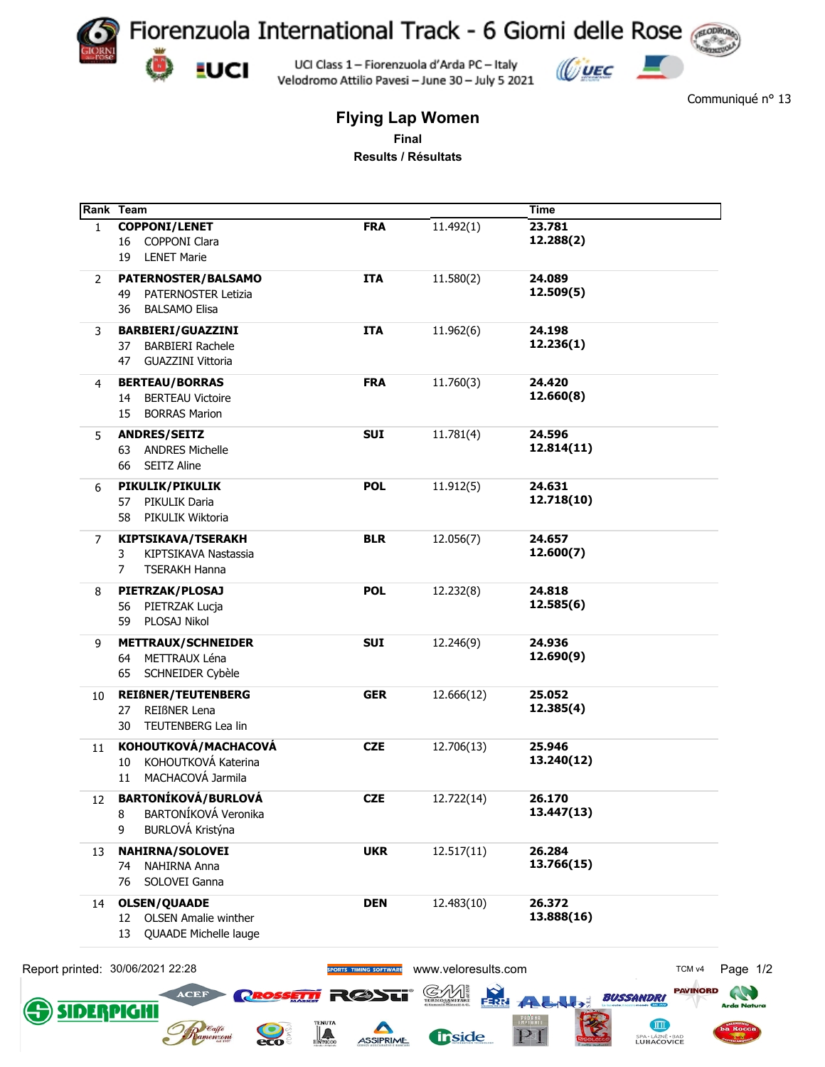

**EUCI** 

**SIDERPIGHI** 

 $\mathbf{Q}$ 

 $\mathbb L$ 

UCI Class 1 - Fiorenzuola d'Arda PC - Italy Velodromo Attilio Pavesi - June 30 - July 5 2021



Communiqué nº 13

**CITT** 

SPA - LÁZNĚ - BAD<br>LUHAČOVICE

 $P1$ 

**fr**side

## **Flying Lap Women** Final Results / Résultats

|              | Rank Team                              |                        |                     | <b>Time</b>          |                   |
|--------------|----------------------------------------|------------------------|---------------------|----------------------|-------------------|
| $\mathbf{1}$ | <b>COPPONI/LENET</b>                   | <b>FRA</b>             | 11.492(1)           | 23.781               |                   |
|              | COPPONI Clara<br>16                    |                        |                     | 12.288(2)            |                   |
|              | <b>LENET Marie</b><br>19               |                        |                     |                      |                   |
| 2            | PATERNOSTER/BALSAMO                    | <b>ITA</b>             | 11.580(2)           | 24.089               |                   |
|              | <b>PATERNOSTER Letizia</b><br>49       |                        |                     | 12.509(5)            |                   |
|              | <b>BALSAMO Elisa</b><br>36             |                        |                     |                      |                   |
| 3            | <b>BARBIERI/GUAZZINI</b>               | <b>ITA</b>             | 11.962(6)           | 24.198               |                   |
|              | <b>BARBIERI Rachele</b><br>37          |                        |                     | 12.236(1)            |                   |
|              | <b>GUAZZINI Vittoria</b>               |                        |                     |                      |                   |
|              | 47                                     |                        |                     |                      |                   |
| 4            | <b>BERTEAU/BORRAS</b>                  | <b>FRA</b>             | 11.760(3)           | 24.420               |                   |
|              | <b>BERTEAU Victoire</b><br>14          |                        |                     | 12.660(8)            |                   |
|              | <b>BORRAS Marion</b><br>15             |                        |                     |                      |                   |
| 5.           | <b>ANDRES/SEITZ</b>                    | <b>SUI</b>             | 11.781(4)           | 24.596               |                   |
|              | <b>ANDRES Michelle</b><br>63           |                        |                     | 12.814(11)           |                   |
|              | <b>SEITZ Aline</b><br>66               |                        |                     |                      |                   |
| 6            | PIKULIK/PIKULIK                        | <b>POL</b>             | 11.912(5)           | 24.631               |                   |
|              | 57<br>PIKULIK Daria                    |                        |                     | 12.718(10)           |                   |
|              | PIKULIK Wiktoria<br>58                 |                        |                     |                      |                   |
|              |                                        |                        |                     |                      |                   |
| 7            | <b>KIPTSIKAVA/TSERAKH</b>              | <b>BLR</b>             | 12.056(7)           | 24.657               |                   |
|              | KIPTSIKAVA Nastassia<br>3              |                        |                     | 12.600(7)            |                   |
|              | <b>TSERAKH Hanna</b><br>7              |                        |                     |                      |                   |
| 8            | PIETRZAK/PLOSAJ                        | <b>POL</b>             | 12.232(8)           | 24.818               |                   |
|              | PIETRZAK Lucja<br>56                   |                        |                     | 12.585(6)            |                   |
|              | PLOSAJ Nikol<br>59                     |                        |                     |                      |                   |
| 9            | <b>METTRAUX/SCHNEIDER</b>              | <b>SUI</b>             | 12.246(9)           | 24.936               |                   |
|              | METTRAUX Léna<br>64                    |                        |                     | 12.690(9)            |                   |
|              | SCHNEIDER Cybèle<br>65                 |                        |                     |                      |                   |
|              |                                        |                        |                     |                      |                   |
| 10           | <b>REIßNER/TEUTENBERG</b>              | <b>GER</b>             | 12.666(12)          | 25.052<br>12.385(4)  |                   |
|              | <b>REIBNER Lena</b><br>27              |                        |                     |                      |                   |
|              | TEUTENBERG Lea lin<br>30               |                        |                     |                      |                   |
| 11           | KOHOUTKOVÁ/MACHACOVÁ                   | <b>CZE</b>             | 12.706(13)          | 25.946               |                   |
|              | KOHOUTKOVÁ Katerina<br>10              |                        |                     | 13.240(12)           |                   |
|              | 11 MACHACOVÁ Jarmila                   |                        |                     |                      |                   |
| 12           | <b>BARTONÍKOVÁ/BURLOVÁ</b>             | <b>CZE</b>             | 12.722(14)          | 26.170               |                   |
|              | BARTONÍKOVÁ Veronika<br>8              |                        |                     | 13.447(13)           |                   |
|              | BURLOVÁ Kristýna<br>9                  |                        |                     |                      |                   |
|              |                                        |                        |                     |                      |                   |
| 13           | <b>NAHIRNA/SOLOVEI</b><br>NAHIRNA Anna | <b>UKR</b>             | 12.517(11)          | 26.284<br>13.766(15) |                   |
|              | 74                                     |                        |                     |                      |                   |
|              | SOLOVEI Ganna<br>76                    |                        |                     |                      |                   |
| 14           | <b>OLSEN/QUAADE</b>                    | <b>DEN</b>             | 12.483(10)          | 26.372               |                   |
|              | <b>OLSEN Amalie winther</b><br>12      |                        |                     | 13.888(16)           |                   |
|              | 13<br>QUAADE Michelle lauge            |                        |                     |                      |                   |
|              |                                        |                        |                     |                      |                   |
|              | Report printed: 30/06/2021 22:28       | SPORTS TIMING SOFTWARE | www.veloresults.com |                      | TCM <sub>v4</sub> |
|              |                                        |                        |                     |                      |                   |

ASSIPRIME